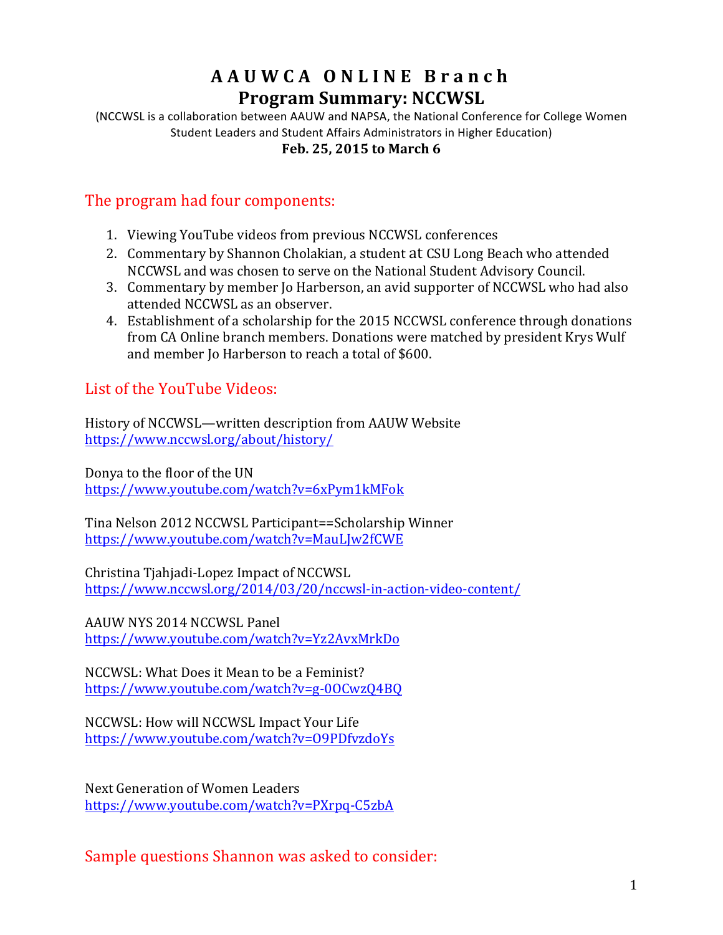# **AAUWCA ONLINE Branch Program Summary: NCCWSL**

(NCCWSL is a collaboration between AAUW and NAPSA, the National Conference for College Women Student Leaders and Student Affairs Administrators in Higher Education)

#### Feb. 25, 2015 to March 6

### The program had four components:

- 1. Viewing YouTube videos from previous NCCWSL conferences
- 2. Commentary by Shannon Cholakian, a student at CSU Long Beach who attended NCCWSL and was chosen to serve on the National Student Advisory Council.
- 3. Commentary by member Io Harberson, an avid supporter of NCCWSL who had also attended NCCWSL as an observer.
- 4. Establishment of a scholarship for the 2015 NCCWSL conference through donations from CA Online branch members. Donations were matched by president Krys Wulf and member Jo Harberson to reach a total of \$600.

# List of the YouTube Videos:

History of NCCWSL—written description from AAUW Website https://www.nccwsl.org/about/history/

Donya to the floor of the UN https://www.youtube.com/watch?v=6xPym1kMFok

Tina Nelson 2012 NCCWSL Participant==Scholarship Winner https://www.youtube.com/watch?v=MauLJw2fCWE

Christina Tjahjadi-Lopez Impact of NCCWSL https://www.nccwsl.org/2014/03/20/nccwsl-in-action-video-content/

AAUW NYS 2014 NCCWSL Panel https://www.youtube.com/watch?v=Yz2AvxMrkDo

NCCWSL: What Does it Mean to be a Feminist? https://www.youtube.com/watch?v=g-0OCwzQ4BQ

NCCWSL: How will NCCWSL Impact Your Life https://www.youtube.com/watch?v=O9PDfvzdoYs

Next Generation of Women Leaders https://www.youtube.com/watch?v=PXrpq-C5zbA

Sample questions Shannon was asked to consider: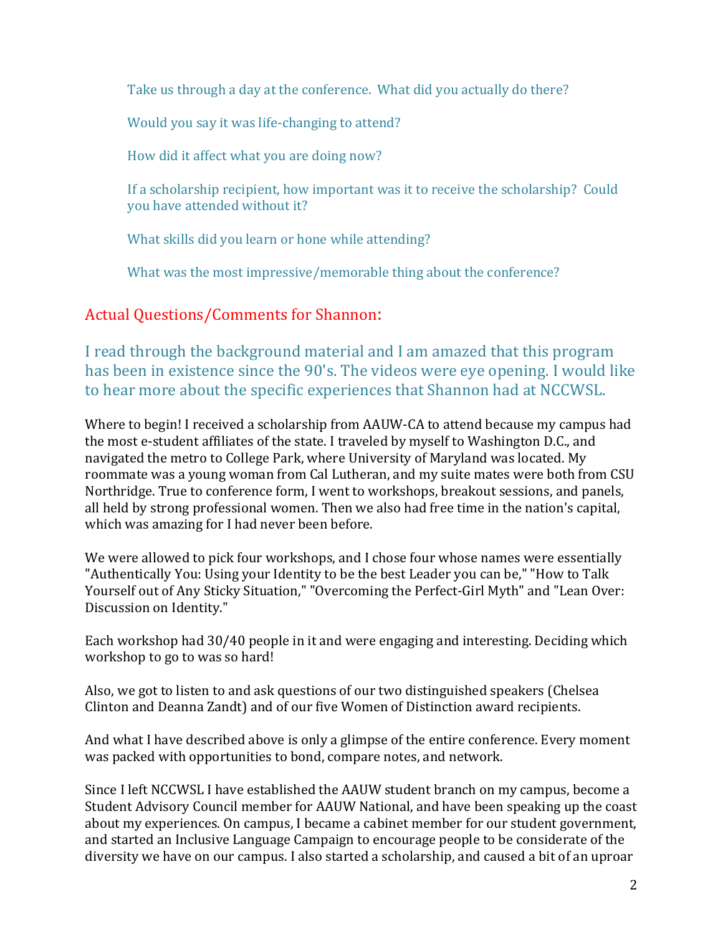Take us through a day at the conference. What did you actually do there?

Would you say it was life-changing to attend?

How did it affect what you are doing now?

If a scholarship recipient, how important was it to receive the scholarship? Could you have attended without it?

What skills did you learn or hone while attending?

What was the most impressive/memorable thing about the conference?

#### Actual Questions/Comments for Shannon:

I read through the background material and I am amazed that this program has been in existence since the 90's. The videos were eye opening. I would like to hear more about the specific experiences that Shannon had at NCCWSL.

Where to begin! I received a scholarship from AAUW-CA to attend because my campus had the most e-student affiliates of the state. I traveled by myself to Washington D.C., and navigated the metro to College Park, where University of Maryland was located. My roommate was a young woman from Cal Lutheran, and my suite mates were both from CSU Northridge. True to conference form, I went to workshops, breakout sessions, and panels, all held by strong professional women. Then we also had free time in the nation's capital, which was amazing for I had never been before.

We were allowed to pick four workshops, and I chose four whose names were essentially "Authentically You: Using your Identity to be the best Leader you can be," "How to Talk Yourself out of Any Sticky Situation," "Overcoming the Perfect-Girl Myth" and "Lean Over: Discussion on Identity."

Each workshop had  $30/40$  people in it and were engaging and interesting. Deciding which workshop to go to was so hard!

Also, we got to listen to and ask questions of our two distinguished speakers (Chelsea) Clinton and Deanna Zandt) and of our five Women of Distinction award recipients.

And what I have described above is only a glimpse of the entire conference. Every moment was packed with opportunities to bond, compare notes, and network.

Since I left NCCWSL I have established the AAUW student branch on my campus, become a Student Advisory Council member for AAUW National, and have been speaking up the coast about my experiences. On campus, I became a cabinet member for our student government, and started an Inclusive Language Campaign to encourage people to be considerate of the diversity we have on our campus. I also started a scholarship, and caused a bit of an uproar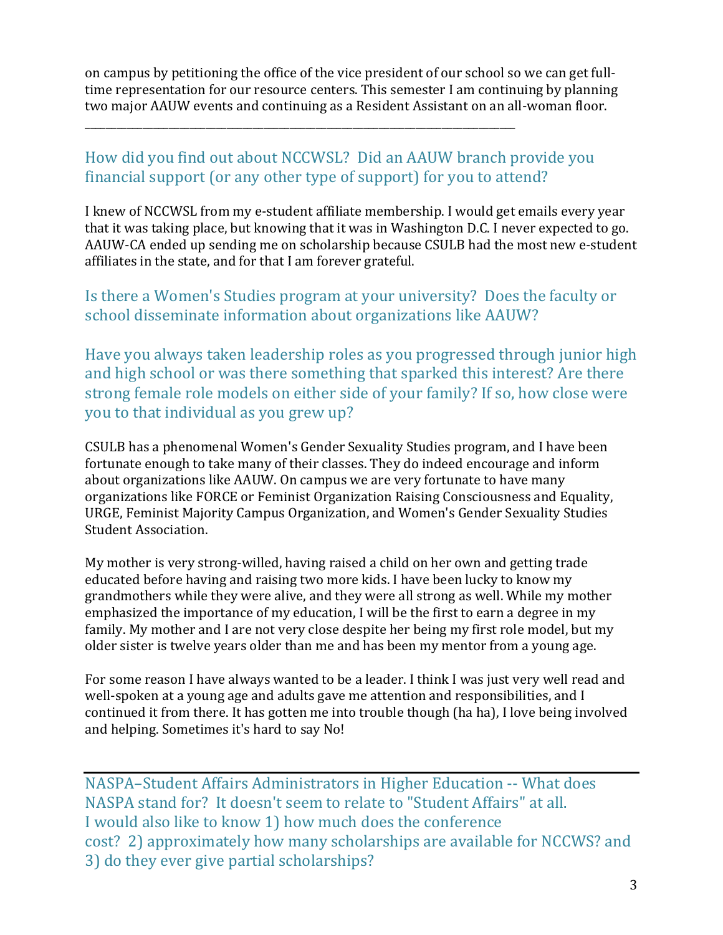on campus by petitioning the office of the vice president of our school so we can get fulltime representation for our resource centers. This semester I am continuing by planning two major AAUW events and continuing as a Resident Assistant on an all-woman floor.

# How did you find out about NCCWSL? Did an AAUW branch provide you financial support (or any other type of support) for you to attend?

\_\_\_\_\_\_\_\_\_\_\_\_\_\_\_\_\_\_\_\_\_\_\_\_\_\_\_\_\_\_\_\_\_\_\_\_\_\_\_\_\_\_\_\_\_\_\_\_\_\_\_\_\_\_\_\_\_\_\_\_\_\_\_\_\_\_\_\_\_\_\_\_\_\_\_\_\_\_\_\_\_\_

I knew of NCCWSL from my e-student affiliate membership. I would get emails every year that it was taking place, but knowing that it was in Washington D.C. I never expected to go. AAUW-CA ended up sending me on scholarship because CSULB had the most new e-student affiliates in the state, and for that I am forever grateful.

#### Is there a Women's Studies program at your university? Does the faculty or school disseminate information about organizations like AAUW?

Have you always taken leadership roles as you progressed through junior high and high school or was there something that sparked this interest? Are there strong female role models on either side of your family? If so, how close were you to that individual as you grew up?

CSULB has a phenomenal Women's Gender Sexuality Studies program, and I have been fortunate enough to take many of their classes. They do indeed encourage and inform about organizations like AAUW. On campus we are very fortunate to have many organizations like FORCE or Feminist Organization Raising Consciousness and Equality, URGE, Feminist Majority Campus Organization, and Women's Gender Sexuality Studies Student Association.

My mother is very strong-willed, having raised a child on her own and getting trade educated before having and raising two more kids. I have been lucky to know my grandmothers while they were alive, and they were all strong as well. While my mother emphasized the importance of my education, I will be the first to earn a degree in my family. My mother and I are not very close despite her being my first role model, but my older sister is twelve years older than me and has been my mentor from a young age.

For some reason I have always wanted to be a leader. I think I was just very well read and well-spoken at a young age and adults gave me attention and responsibilities, and I continued it from there. It has gotten me into trouble though (ha ha), I love being involved and helping. Sometimes it's hard to say No!

NASPA–Student Affairs Administrators in Higher Education -- What does NASPA stand for? It doesn't seem to relate to "Student Affairs" at all. I would also like to know 1) how much does the conference cost? 2) approximately how many scholarships are available for NCCWS? and 3) do they ever give partial scholarships?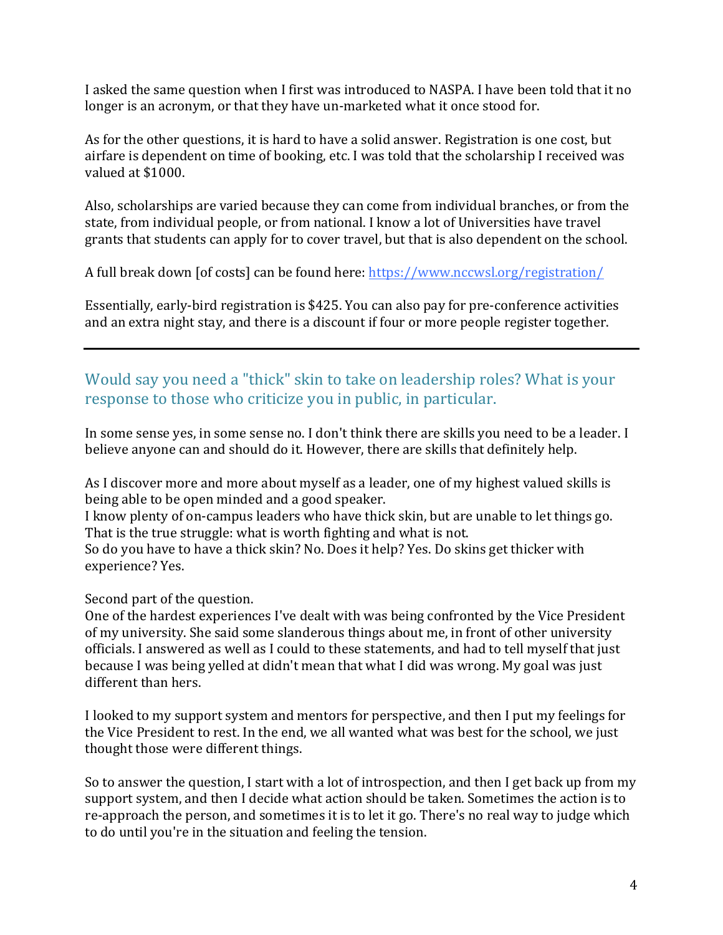I asked the same question when I first was introduced to NASPA. I have been told that it no longer is an acronym, or that they have un-marketed what it once stood for.

As for the other questions, it is hard to have a solid answer. Registration is one cost, but airfare is dependent on time of booking, etc. I was told that the scholarship I received was valued at \$1000.

Also, scholarships are varied because they can come from individual branches, or from the state, from individual people, or from national. I know a lot of Universities have travel grants that students can apply for to cover travel, but that is also dependent on the school.

A full break down [of costs] can be found here: https://www.nccwsl.org/registration/

Essentially, early-bird registration is \$425. You can also pay for pre-conference activities and an extra night stay, and there is a discount if four or more people register together.

# Would say you need a "thick" skin to take on leadership roles? What is your response to those who criticize you in public, in particular.

In some sense yes, in some sense no. I don't think there are skills you need to be a leader. I believe anyone can and should do it. However, there are skills that definitely help.

As I discover more and more about myself as a leader, one of my highest valued skills is being able to be open minded and a good speaker.

I know plenty of on-campus leaders who have thick skin, but are unable to let things go. That is the true struggle: what is worth fighting and what is not.

So do you have to have a thick skin? No. Does it help? Yes. Do skins get thicker with experience? Yes.

Second part of the question.

One of the hardest experiences I've dealt with was being confronted by the Vice President of my university. She said some slanderous things about me, in front of other university officials. I answered as well as I could to these statements, and had to tell myself that just because I was being yelled at didn't mean that what I did was wrong. My goal was just different than hers.

I looked to my support system and mentors for perspective, and then I put my feelings for the Vice President to rest. In the end, we all wanted what was best for the school, we just thought those were different things.

So to answer the question, I start with a lot of introspection, and then I get back up from my support system, and then I decide what action should be taken. Sometimes the action is to re-approach the person, and sometimes it is to let it go. There's no real way to judge which to do until you're in the situation and feeling the tension.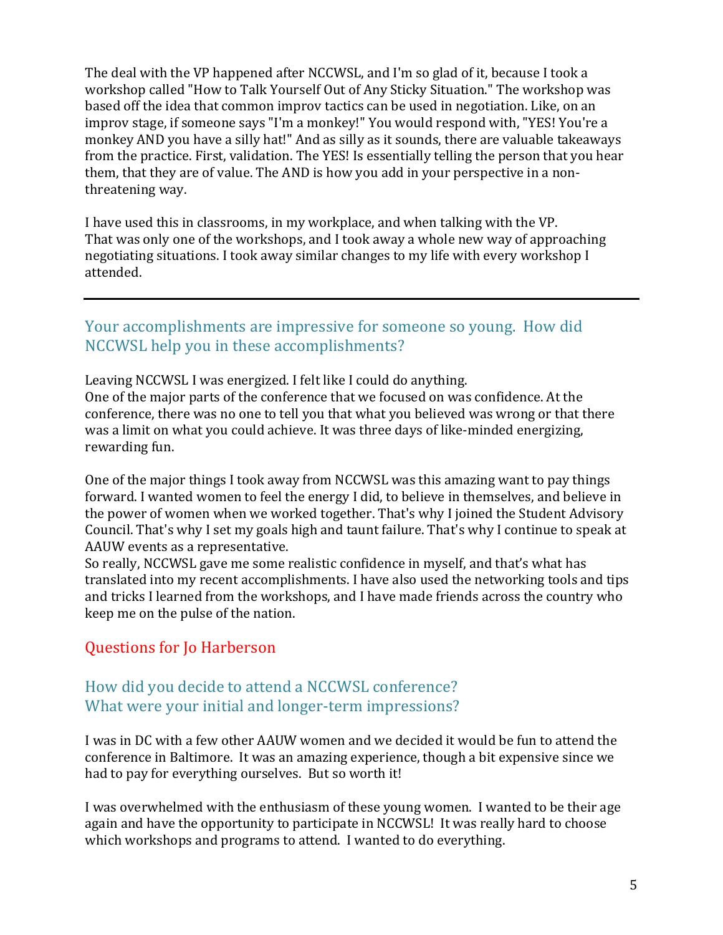The deal with the VP happened after NCCWSL, and I'm so glad of it, because I took a workshop called "How to Talk Yourself Out of Any Sticky Situation." The workshop was based off the idea that common improv tactics can be used in negotiation. Like, on an improv stage, if someone says "I'm a monkey!" You would respond with, "YES! You're a monkey AND you have a silly hat!" And as silly as it sounds, there are valuable takeaways from the practice. First, validation. The YES! Is essentially telling the person that you hear them, that they are of value. The AND is how you add in your perspective in a nonthreatening way.

I have used this in classrooms, in my workplace, and when talking with the VP. That was only one of the workshops, and I took away a whole new way of approaching negotiating situations. I took away similar changes to my life with every workshop I attended.

#### Your accomplishments are impressive for someone so young. How did NCCWSL help you in these accomplishments?

Leaving NCCWSL I was energized. I felt like I could do anything. One of the major parts of the conference that we focused on was confidence. At the conference, there was no one to tell you that what you believed was wrong or that there was a limit on what you could achieve. It was three days of like-minded energizing, rewarding fun.

One of the major things I took away from NCCWSL was this amazing want to pay things forward. I wanted women to feel the energy I did, to believe in themselves, and believe in the power of women when we worked together. That's why I joined the Student Advisory Council. That's why I set my goals high and taunt failure. That's why I continue to speak at AAUW events as a representative.

So really, NCCWSL gave me some realistic confidence in myself, and that's what has translated into my recent accomplishments. I have also used the networking tools and tips and tricks I learned from the workshops, and I have made friends across the country who keep me on the pulse of the nation.

# Questions for Jo Harberson

#### How did you decide to attend a NCCWSL conference? What were your initial and longer-term impressions?

I was in DC with a few other AAUW women and we decided it would be fun to attend the conference in Baltimore. It was an amazing experience, though a bit expensive since we had to pay for everything ourselves. But so worth it!

I was overwhelmed with the enthusiasm of these young women. I wanted to be their age again and have the opportunity to participate in NCCWSL! It was really hard to choose which workshops and programs to attend. I wanted to do everything.